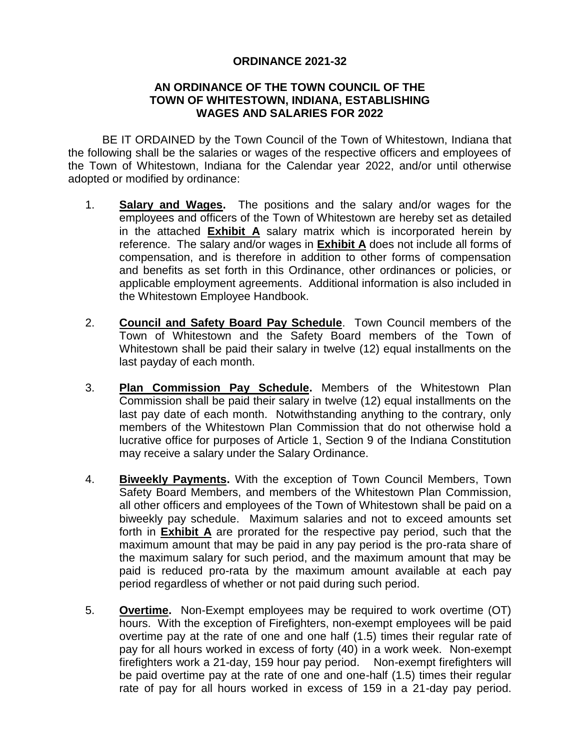## **ORDINANCE 2021-32**

## **AN ORDINANCE OF THE TOWN COUNCIL OF THE TOWN OF WHITESTOWN, INDIANA, ESTABLISHING WAGES AND SALARIES FOR 2022**

BE IT ORDAINED by the Town Council of the Town of Whitestown, Indiana that the following shall be the salaries or wages of the respective officers and employees of the Town of Whitestown, Indiana for the Calendar year 2022, and/or until otherwise adopted or modified by ordinance:

- 1. **Salary and Wages.** The positions and the salary and/or wages for the employees and officers of the Town of Whitestown are hereby set as detailed in the attached **Exhibit A** salary matrix which is incorporated herein by reference. The salary and/or wages in **Exhibit A** does not include all forms of compensation, and is therefore in addition to other forms of compensation and benefits as set forth in this Ordinance, other ordinances or policies, or applicable employment agreements. Additional information is also included in the Whitestown Employee Handbook.
- 2. **Council and Safety Board Pay Schedule**. Town Council members of the Town of Whitestown and the Safety Board members of the Town of Whitestown shall be paid their salary in twelve (12) equal installments on the last payday of each month.
- 3. **Plan Commission Pay Schedule.** Members of the Whitestown Plan Commission shall be paid their salary in twelve (12) equal installments on the last pay date of each month. Notwithstanding anything to the contrary, only members of the Whitestown Plan Commission that do not otherwise hold a lucrative office for purposes of Article 1, Section 9 of the Indiana Constitution may receive a salary under the Salary Ordinance.
- 4. **Biweekly Payments.** With the exception of Town Council Members, Town Safety Board Members, and members of the Whitestown Plan Commission, all other officers and employees of the Town of Whitestown shall be paid on a biweekly pay schedule. Maximum salaries and not to exceed amounts set forth in **Exhibit A** are prorated for the respective pay period, such that the maximum amount that may be paid in any pay period is the pro-rata share of the maximum salary for such period, and the maximum amount that may be paid is reduced pro-rata by the maximum amount available at each pay period regardless of whether or not paid during such period.
- 5. **Overtime.** Non-Exempt employees may be required to work overtime (OT) hours. With the exception of Firefighters, non-exempt employees will be paid overtime pay at the rate of one and one half (1.5) times their regular rate of pay for all hours worked in excess of forty (40) in a work week. Non-exempt firefighters work a 21-day, 159 hour pay period. Non-exempt firefighters will be paid overtime pay at the rate of one and one-half (1.5) times their regular rate of pay for all hours worked in excess of 159 in a 21-day pay period.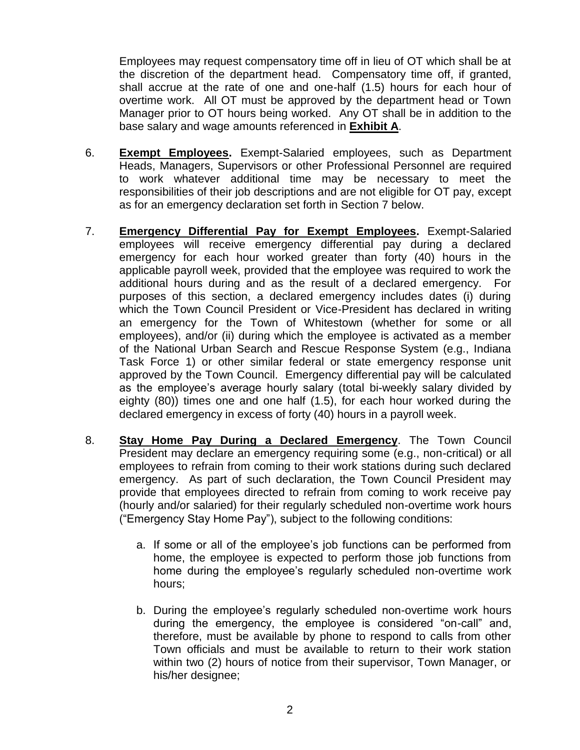Employees may request compensatory time off in lieu of OT which shall be at the discretion of the department head. Compensatory time off, if granted, shall accrue at the rate of one and one-half (1.5) hours for each hour of overtime work. All OT must be approved by the department head or Town Manager prior to OT hours being worked. Any OT shall be in addition to the base salary and wage amounts referenced in **Exhibit A**.

- 6. **Exempt Employees.** Exempt-Salaried employees, such as Department Heads, Managers, Supervisors or other Professional Personnel are required to work whatever additional time may be necessary to meet the responsibilities of their job descriptions and are not eligible for OT pay, except as for an emergency declaration set forth in Section 7 below.
- 7. **Emergency Differential Pay for Exempt Employees.** Exempt-Salaried employees will receive emergency differential pay during a declared emergency for each hour worked greater than forty (40) hours in the applicable payroll week, provided that the employee was required to work the additional hours during and as the result of a declared emergency. For purposes of this section, a declared emergency includes dates (i) during which the Town Council President or Vice-President has declared in writing an emergency for the Town of Whitestown (whether for some or all employees), and/or (ii) during which the employee is activated as a member of the National Urban Search and Rescue Response System (e.g., Indiana Task Force 1) or other similar federal or state emergency response unit approved by the Town Council. Emergency differential pay will be calculated as the employee's average hourly salary (total bi-weekly salary divided by eighty (80)) times one and one half (1.5), for each hour worked during the declared emergency in excess of forty (40) hours in a payroll week.
- 8. **Stay Home Pay During a Declared Emergency**. The Town Council President may declare an emergency requiring some (e.g., non-critical) or all employees to refrain from coming to their work stations during such declared emergency. As part of such declaration, the Town Council President may provide that employees directed to refrain from coming to work receive pay (hourly and/or salaried) for their regularly scheduled non-overtime work hours ("Emergency Stay Home Pay"), subject to the following conditions:
	- a. If some or all of the employee's job functions can be performed from home, the employee is expected to perform those job functions from home during the employee's regularly scheduled non-overtime work hours;
	- b. During the employee's regularly scheduled non-overtime work hours during the emergency, the employee is considered "on-call" and, therefore, must be available by phone to respond to calls from other Town officials and must be available to return to their work station within two (2) hours of notice from their supervisor, Town Manager, or his/her designee;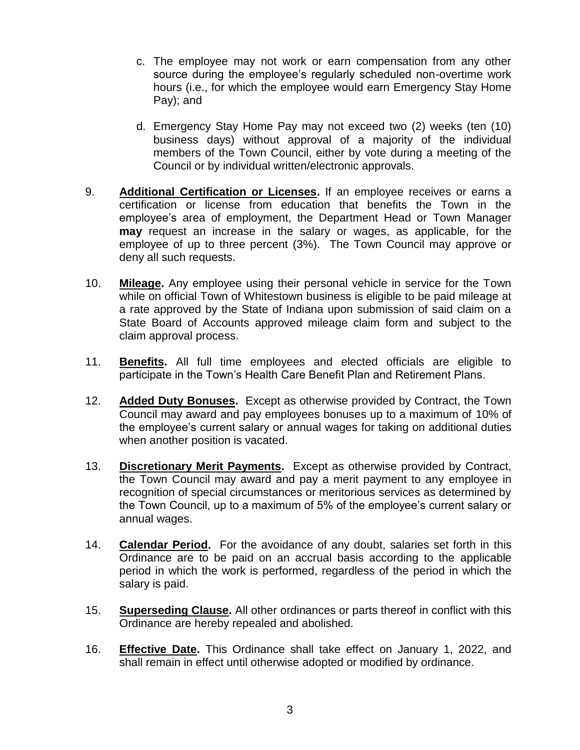- c. The employee may not work or earn compensation from any other source during the employee's regularly scheduled non-overtime work hours (i.e., for which the employee would earn Emergency Stay Home Pay); and
- d. Emergency Stay Home Pay may not exceed two (2) weeks (ten (10) business days) without approval of a majority of the individual members of the Town Council, either by vote during a meeting of the Council or by individual written/electronic approvals.
- 9. **Additional Certification or Licenses.** If an employee receives or earns a certification or license from education that benefits the Town in the employee's area of employment, the Department Head or Town Manager **may** request an increase in the salary or wages, as applicable, for the employee of up to three percent (3%). The Town Council may approve or deny all such requests.
- 10. **Mileage.** Any employee using their personal vehicle in service for the Town while on official Town of Whitestown business is eligible to be paid mileage at a rate approved by the State of Indiana upon submission of said claim on a State Board of Accounts approved mileage claim form and subject to the claim approval process.
- 11. **Benefits.** All full time employees and elected officials are eligible to participate in the Town's Health Care Benefit Plan and Retirement Plans.
- 12. **Added Duty Bonuses.** Except as otherwise provided by Contract, the Town Council may award and pay employees bonuses up to a maximum of 10% of the employee's current salary or annual wages for taking on additional duties when another position is vacated.
- 13. **Discretionary Merit Payments.** Except as otherwise provided by Contract, the Town Council may award and pay a merit payment to any employee in recognition of special circumstances or meritorious services as determined by the Town Council, up to a maximum of 5% of the employee's current salary or annual wages.
- 14. **Calendar Period.** For the avoidance of any doubt, salaries set forth in this Ordinance are to be paid on an accrual basis according to the applicable period in which the work is performed, regardless of the period in which the salary is paid.
- 15. **Superseding Clause.** All other ordinances or parts thereof in conflict with this Ordinance are hereby repealed and abolished.
- 16. **Effective Date.** This Ordinance shall take effect on January 1, 2022, and shall remain in effect until otherwise adopted or modified by ordinance.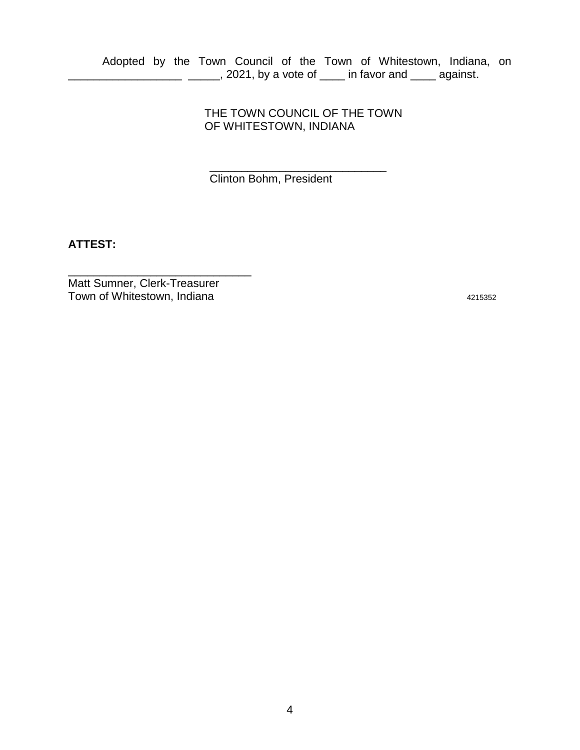Adopted by the Town Council of the Town of Whitestown, Indiana, on \_\_\_\_\_\_\_\_\_\_\_\_\_\_\_\_\_\_ \_\_\_\_\_, 2021, by a vote of \_\_\_\_ in favor and \_\_\_\_ against.

> THE TOWN COUNCIL OF THE TOWN OF WHITESTOWN, INDIANA

\_\_\_\_\_\_\_\_\_\_\_\_\_\_\_\_\_\_\_\_\_\_\_\_\_\_\_\_

Clinton Bohm, President

**ATTEST:**

Matt Sumner, Clerk-Treasurer Town of Whitestown, Indiana 4215352

\_\_\_\_\_\_\_\_\_\_\_\_\_\_\_\_\_\_\_\_\_\_\_\_\_\_\_\_\_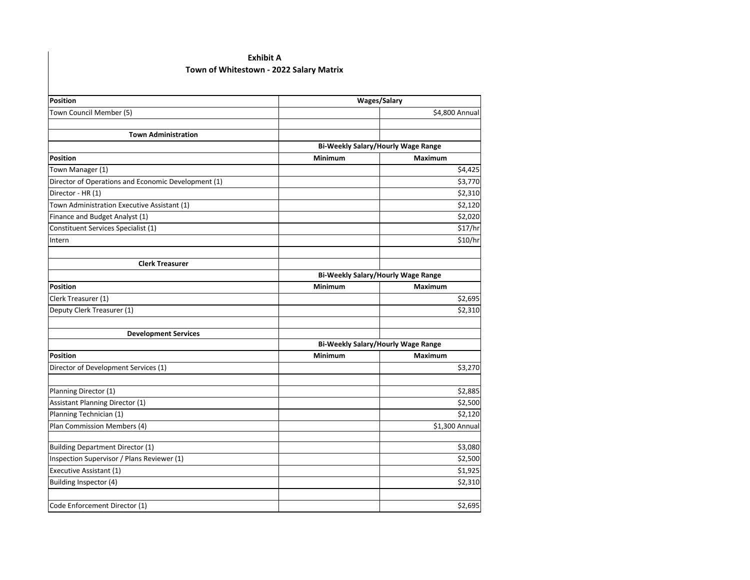## **Exhibit A Town of Whitestown - 2022 Salary Matrix**

| Position                                                 | <b>Wages/Salary</b>                |                    |  |
|----------------------------------------------------------|------------------------------------|--------------------|--|
| Town Council Member (5)                                  |                                    | \$4,800 Annual     |  |
|                                                          |                                    |                    |  |
| <b>Town Administration</b>                               |                                    |                    |  |
|                                                          | Bi-Weekly Salary/Hourly Wage Range |                    |  |
| <b>Position</b>                                          | <b>Minimum</b>                     | <b>Maximum</b>     |  |
| Town Manager (1)                                         |                                    | \$4,425            |  |
| Director of Operations and Economic Development (1)      |                                    | \$3,770            |  |
| Director - HR (1)                                        |                                    | \$2,310            |  |
| Town Administration Executive Assistant (1)              |                                    | \$2,120            |  |
| Finance and Budget Analyst (1)                           |                                    | \$2,020            |  |
| Constituent Services Specialist (1)                      |                                    | \$17/hr            |  |
| Intern                                                   |                                    | \$10/hr            |  |
| <b>Clerk Treasurer</b>                                   |                                    |                    |  |
|                                                          | Bi-Weekly Salary/Hourly Wage Range |                    |  |
| <b>Position</b>                                          | Minimum                            | Maximum            |  |
| Clerk Treasurer (1)                                      |                                    | \$2,695            |  |
| Deputy Clerk Treasurer (1)                               |                                    | \$2,310            |  |
| <b>Development Services</b>                              |                                    |                    |  |
|                                                          | Bi-Weekly Salary/Hourly Wage Range |                    |  |
| Position                                                 | Minimum                            | Maximum            |  |
| Director of Development Services (1)                     |                                    | \$3,270            |  |
|                                                          |                                    |                    |  |
| Planning Director (1)<br>Assistant Planning Director (1) |                                    | \$2,885<br>\$2,500 |  |
| Planning Technician (1)                                  |                                    | \$2,120            |  |
|                                                          |                                    |                    |  |
| Plan Commission Members (4)                              |                                    | \$1,300 Annual     |  |
| <b>Building Department Director (1)</b>                  |                                    | \$3,080            |  |
| Inspection Supervisor / Plans Reviewer (1)               |                                    | \$2,500            |  |
| Executive Assistant (1)                                  |                                    | \$1,925            |  |
| Building Inspector (4)                                   |                                    | \$2,310            |  |
| Code Enforcement Director (1)                            |                                    | \$2,695            |  |
|                                                          |                                    |                    |  |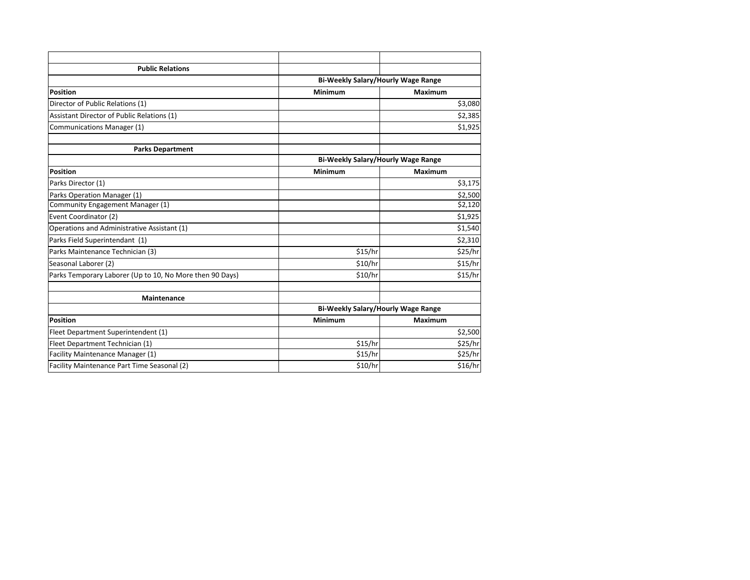| <b>Public Relations</b>                                  |                                    |                |  |
|----------------------------------------------------------|------------------------------------|----------------|--|
|                                                          | Bi-Weekly Salary/Hourly Wage Range |                |  |
| <b>Position</b>                                          | <b>Minimum</b>                     | <b>Maximum</b> |  |
| Director of Public Relations (1)                         |                                    | \$3,080        |  |
| Assistant Director of Public Relations (1)               |                                    | \$2,385        |  |
| Communications Manager (1)                               |                                    | \$1,925        |  |
| <b>Parks Department</b>                                  |                                    |                |  |
|                                                          | Bi-Weekly Salary/Hourly Wage Range |                |  |
| <b>Position</b>                                          | <b>Minimum</b>                     | <b>Maximum</b> |  |
| Parks Director (1)                                       |                                    | \$3,175        |  |
| Parks Operation Manager (1)                              |                                    | \$2,500        |  |
| Community Engagement Manager (1)                         |                                    | \$2,120        |  |
| Event Coordinator (2)                                    |                                    | \$1,925        |  |
| Operations and Administrative Assistant (1)              |                                    | \$1,540        |  |
| Parks Field Superintendant (1)                           |                                    | \$2,310        |  |
| Parks Maintenance Technician (3)                         | \$15/hr                            | \$25/hr        |  |
| Seasonal Laborer (2)                                     | \$10/hr                            | \$15/hr        |  |
| Parks Temporary Laborer (Up to 10, No More then 90 Days) | \$10/hr                            | \$15/hr        |  |
| <b>Maintenance</b>                                       |                                    |                |  |
|                                                          | Bi-Weekly Salary/Hourly Wage Range |                |  |
| <b>Position</b>                                          | Minimum                            | <b>Maximum</b> |  |
| Fleet Department Superintendent (1)                      |                                    | \$2,500        |  |
| Fleet Department Technician (1)                          | \$15/hr                            | \$25/hr        |  |
| Facility Maintenance Manager (1)                         | \$15/hr                            | \$25/hr        |  |
| Facility Maintenance Part Time Seasonal (2)              | \$10/hr                            | \$16/hr        |  |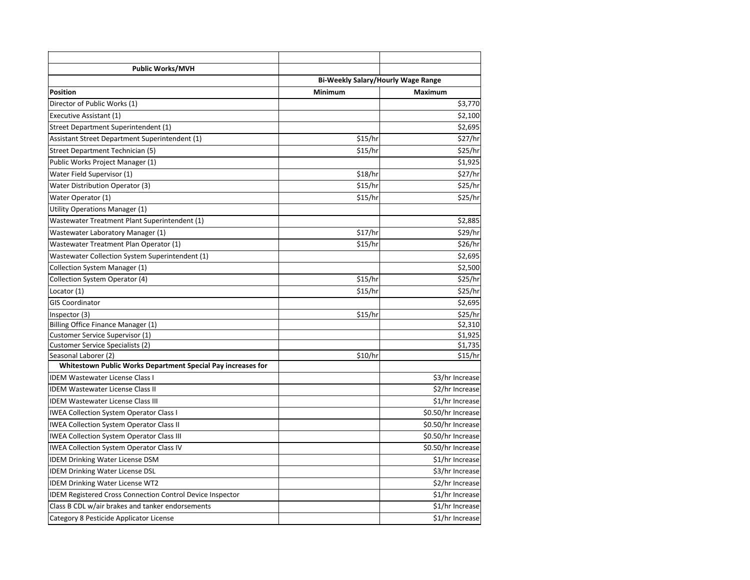| <b>Public Works/MVH</b>                                          |                                    |                    |
|------------------------------------------------------------------|------------------------------------|--------------------|
|                                                                  | Bi-Weekly Salary/Hourly Wage Range |                    |
| <b>Position</b>                                                  | Minimum                            | <b>Maximum</b>     |
| Director of Public Works (1)                                     |                                    | \$3,770            |
| Executive Assistant (1)                                          |                                    | \$2,100            |
| Street Department Superintendent (1)                             |                                    | \$2,695            |
| Assistant Street Department Superintendent (1)                   | \$15/hr                            | \$27/hr            |
| Street Department Technician (5)                                 | \$15/hr                            | \$25/hr            |
| Public Works Project Manager (1)                                 |                                    | \$1,925            |
| Water Field Supervisor (1)                                       | \$18/hr                            | \$27/hr            |
| <b>Water Distribution Operator (3)</b>                           | \$15/hr                            | \$25/hr            |
| Water Operator (1)                                               | \$15/hr                            | \$25/hr            |
| Utility Operations Manager (1)                                   |                                    |                    |
| Wastewater Treatment Plant Superintendent (1)                    |                                    | \$2,885            |
| Wastewater Laboratory Manager (1)                                | \$17/hr                            | \$29/hr            |
| Wastewater Treatment Plan Operator (1)                           | \$15/hr                            | \$26/hr            |
| Wastewater Collection System Superintendent (1)                  |                                    | \$2,695            |
| Collection System Manager (1)                                    |                                    | \$2,500            |
| Collection System Operator (4)                                   | \$15/hr                            | \$25/hr            |
| Locator (1)                                                      | \$15/hr                            | \$25/hr            |
| <b>GIS Coordinator</b>                                           |                                    | \$2,695            |
| Inspector (3)                                                    | \$15/hr                            | \$25/hr            |
| Billing Office Finance Manager (1)                               |                                    | \$2,310            |
| Customer Service Supervisor (1)                                  |                                    | \$1,925            |
| <b>Customer Service Specialists (2)</b>                          |                                    | \$1,735            |
| Seasonal Laborer (2)                                             | \$10/hr                            | \$15/hr            |
| Whitestown Public Works Department Special Pay increases for     |                                    |                    |
| <b>IDEM Wastewater License Class I</b>                           |                                    | \$3/hr Increase    |
| <b>IDEM Wastewater License Class II</b>                          |                                    | \$2/hr Increase    |
| <b>IDEM Wastewater License Class III</b>                         |                                    | \$1/hr Increase    |
| <b>IWEA Collection System Operator Class I</b>                   |                                    | \$0.50/hr Increase |
| <b>IWEA Collection System Operator Class II</b>                  |                                    | \$0.50/hr Increase |
| <b>IWEA Collection System Operator Class III</b>                 |                                    | \$0.50/hr Increase |
| <b>IWEA Collection System Operator Class IV</b>                  |                                    | \$0.50/hr Increase |
| <b>IDEM Drinking Water License DSM</b>                           |                                    | \$1/hr Increase    |
| <b>IDEM Drinking Water License DSL</b>                           |                                    | \$3/hr Increase    |
| <b>IDEM Drinking Water License WT2</b>                           |                                    | \$2/hr Increase    |
| <b>IDEM Registered Cross Connection Control Device Inspector</b> |                                    | \$1/hr Increase    |
| Class B CDL w/air brakes and tanker endorsements                 |                                    | \$1/hr Increase    |
| Category 8 Pesticide Applicator License                          |                                    | \$1/hr Increase    |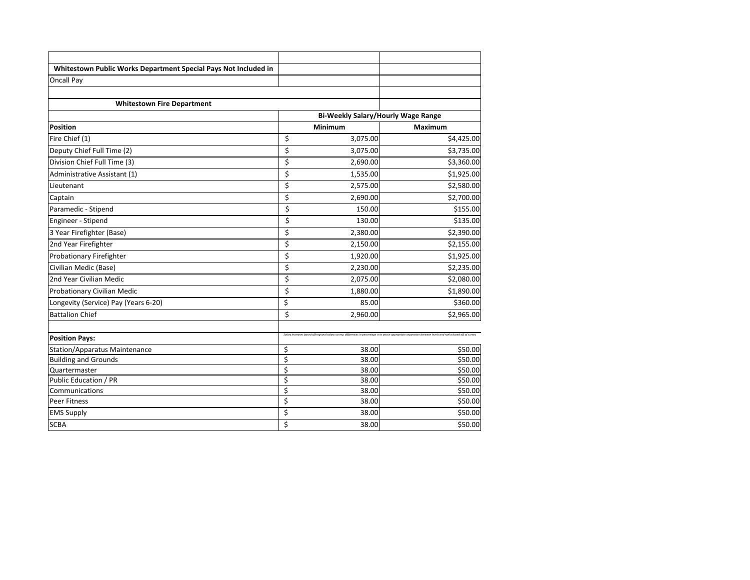| Oncall Pay                           |                                           |                                                                                                                                                               |
|--------------------------------------|-------------------------------------------|---------------------------------------------------------------------------------------------------------------------------------------------------------------|
| <b>Whitestown Fire Department</b>    |                                           |                                                                                                                                                               |
|                                      | <b>Bi-Weekly Salary/Hourly Wage Range</b> |                                                                                                                                                               |
| <b>Position</b>                      | Minimum                                   | Maximum                                                                                                                                                       |
| Fire Chief (1)                       | \$<br>3,075.00                            | \$4,425.00                                                                                                                                                    |
| Deputy Chief Full Time (2)           | \$<br>3,075.00                            | \$3,735.00                                                                                                                                                    |
| Division Chief Full Time (3)         | \$<br>2,690.00                            | \$3,360.00                                                                                                                                                    |
| Administrative Assistant (1)         | \$<br>1,535.00                            | \$1,925.00                                                                                                                                                    |
| Lieutenant                           | \$<br>2,575.00                            | \$2,580.00                                                                                                                                                    |
| Captain                              | \$<br>2,690.00                            | \$2,700.00                                                                                                                                                    |
| Paramedic - Stipend                  | \$<br>150.00                              | \$155.00                                                                                                                                                      |
| Engineer - Stipend                   | \$<br>130.00                              | \$135.00                                                                                                                                                      |
| 3 Year Firefighter (Base)            | \$<br>2,380.00                            | \$2,390.00                                                                                                                                                    |
| 2nd Year Firefighter                 | \$<br>2,150.00                            | \$2,155.00                                                                                                                                                    |
| Probationary Firefighter             | \$<br>1,920.00                            | \$1,925.00                                                                                                                                                    |
| Civilian Medic (Base)                | \$<br>2,230.00                            | \$2,235.00                                                                                                                                                    |
| 2nd Year Civilian Medic              | \$<br>2,075.00                            | \$2,080.00                                                                                                                                                    |
| Probationary Civilian Medic          | \$<br>1,880.00                            | \$1,890.00                                                                                                                                                    |
| Longevity (Service) Pay (Years 6-20) | \$<br>85.00                               | \$360.00                                                                                                                                                      |
| <b>Battalion Chief</b>               | \$<br>2,960.00                            | \$2,965.00                                                                                                                                                    |
| <b>Position Pays:</b>                |                                           | Salary increases based off regional salary survey; differences in percentage is to attain appropriate separation between levels and ranks based off of survey |
| Station/Apparatus Maintenance        | \$<br>38.00                               | \$50.00                                                                                                                                                       |
| <b>Building and Grounds</b>          | \$<br>38.00                               | \$50.00                                                                                                                                                       |
| Quartermaster                        | \$<br>38.00                               | \$50.00                                                                                                                                                       |
| Public Education / PR                | \$<br>38.00                               | \$50.00                                                                                                                                                       |
| Communications                       | \$<br>38.00                               | \$50.00                                                                                                                                                       |
| Peer Fitness                         | \$<br>38.00                               | \$50.00                                                                                                                                                       |
| <b>EMS Supply</b>                    | \$<br>38.00                               | \$50.00                                                                                                                                                       |
| <b>SCBA</b>                          | \$<br>38.00                               | \$50.00                                                                                                                                                       |